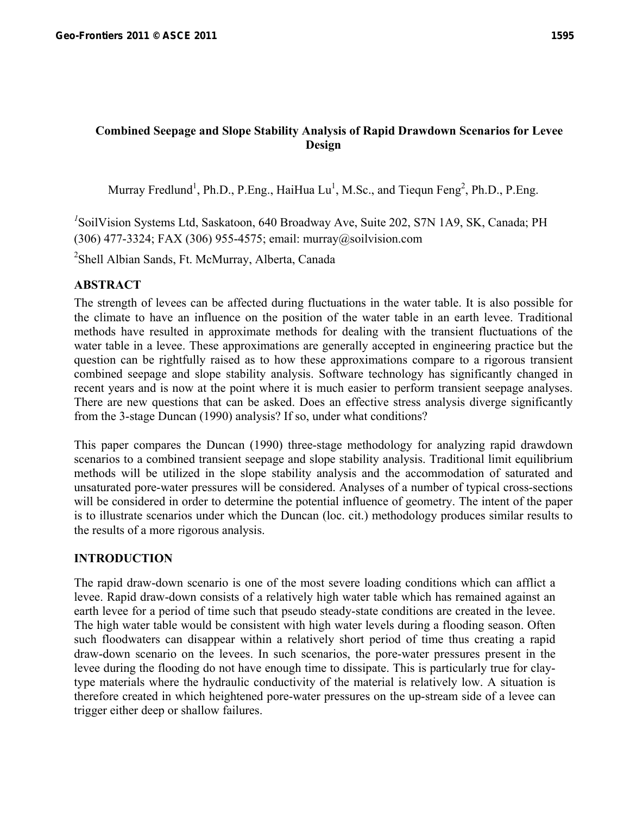# **Combined Seepage and Slope Stability Analysis of Rapid Drawdown Scenarios for Levee Design**

Murray Fredlund<sup>1</sup>, Ph.D., P.Eng., HaiHua Lu<sup>1</sup>, M.Sc., and Tiequn Feng<sup>2</sup>, Ph.D., P.Eng.

*1* SoilVision Systems Ltd, Saskatoon, 640 Broadway Ave, Suite 202, S7N 1A9, SK, Canada; PH (306) 477-3324; FAX (306) 955-4575; email: murray@soilvision.com

<sup>2</sup>Shell Albian Sands, Ft. McMurray, Alberta, Canada

# **ABSTRACT**

The strength of levees can be affected during fluctuations in the water table. It is also possible for the climate to have an influence on the position of the water table in an earth levee. Traditional methods have resulted in approximate methods for dealing with the transient fluctuations of the water table in a levee. These approximations are generally accepted in engineering practice but the question can be rightfully raised as to how these approximations compare to a rigorous transient combined seepage and slope stability analysis. Software technology has significantly changed in recent years and is now at the point where it is much easier to perform transient seepage analyses. There are new questions that can be asked. Does an effective stress analysis diverge significantly from the 3-stage Duncan (1990) analysis? If so, under what conditions?

This paper compares the Duncan (1990) three-stage methodology for analyzing rapid drawdown scenarios to a combined transient seepage and slope stability analysis. Traditional limit equilibrium methods will be utilized in the slope stability analysis and the accommodation of saturated and unsaturated pore-water pressures will be considered. Analyses of a number of typical cross-sections will be considered in order to determine the potential influence of geometry. The intent of the paper is to illustrate scenarios under which the Duncan (loc. cit.) methodology produces similar results to the results of a more rigorous analysis.

# **INTRODUCTION**

The rapid draw-down scenario is one of the most severe loading conditions which can afflict a levee. Rapid draw-down consists of a relatively high water table which has remained against an earth levee for a period of time such that pseudo steady-state conditions are created in the levee. The high water table would be consistent with high water levels during a flooding season. Often such floodwaters can disappear within a relatively short period of time thus creating a rapid draw-down scenario on the levees. In such scenarios, the pore-water pressures present in the levee during the flooding do not have enough time to dissipate. This is particularly true for claytype materials where the hydraulic conductivity of the material is relatively low. A situation is therefore created in which heightened pore-water pressures on the up-stream side of a levee can trigger either deep or shallow failures.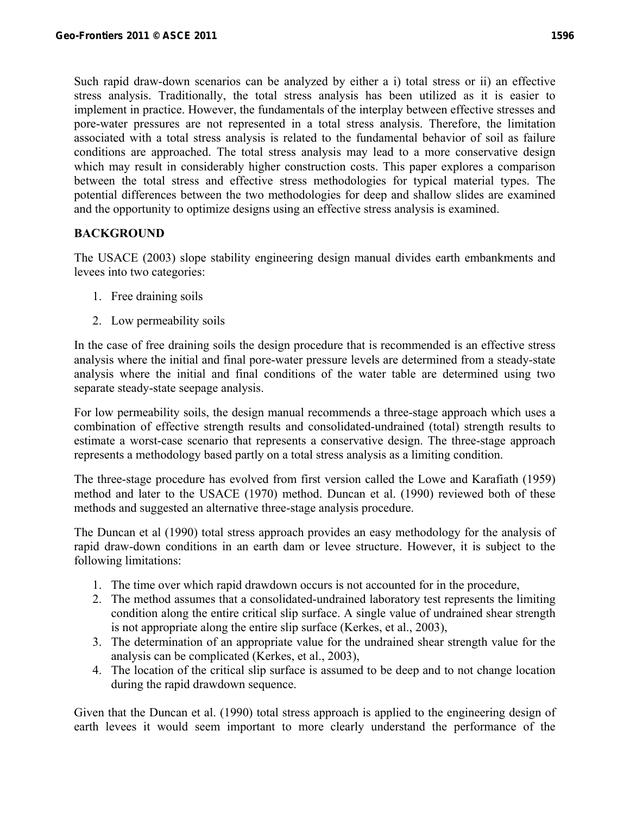Such rapid draw-down scenarios can be analyzed by either a i) total stress or ii) an effective stress analysis. Traditionally, the total stress analysis has been utilized as it is easier to implement in practice. However, the fundamentals of the interplay between effective stresses and pore-water pressures are not represented in a total stress analysis. Therefore, the limitation associated with a total stress analysis is related to the fundamental behavior of soil as failure conditions are approached. The total stress analysis may lead to a more conservative design which may result in considerably higher construction costs. This paper explores a comparison between the total stress and effective stress methodologies for typical material types. The potential differences between the two methodologies for deep and shallow slides are examined and the opportunity to optimize designs using an effective stress analysis is examined.

# **BACKGROUND**

The USACE (2003) slope stability engineering design manual divides earth embankments and levees into two categories:

- 1. Free draining soils
- 2. Low permeability soils

In the case of free draining soils the design procedure that is recommended is an effective stress analysis where the initial and final pore-water pressure levels are determined from a steady-state analysis where the initial and final conditions of the water table are determined using two separate steady-state seepage analysis.

For low permeability soils, the design manual recommends a three-stage approach which uses a combination of effective strength results and consolidated-undrained (total) strength results to estimate a worst-case scenario that represents a conservative design. The three-stage approach represents a methodology based partly on a total stress analysis as a limiting condition.

The three-stage procedure has evolved from first version called the Lowe and Karafiath (1959) method and later to the USACE (1970) method. Duncan et al. (1990) reviewed both of these methods and suggested an alternative three-stage analysis procedure.

The Duncan et al (1990) total stress approach provides an easy methodology for the analysis of rapid draw-down conditions in an earth dam or levee structure. However, it is subject to the following limitations:

- 1. The time over which rapid drawdown occurs is not accounted for in the procedure,
- 2. The method assumes that a consolidated-undrained laboratory test represents the limiting condition along the entire critical slip surface. A single value of undrained shear strength is not appropriate along the entire slip surface (Kerkes, et al., 2003),
- 3. The determination of an appropriate value for the undrained shear strength value for the analysis can be complicated (Kerkes, et al., 2003),
- 4. The location of the critical slip surface is assumed to be deep and to not change location during the rapid drawdown sequence.

Given that the Duncan et al. (1990) total stress approach is applied to the engineering design of earth levees it would seem important to more clearly understand the performance of the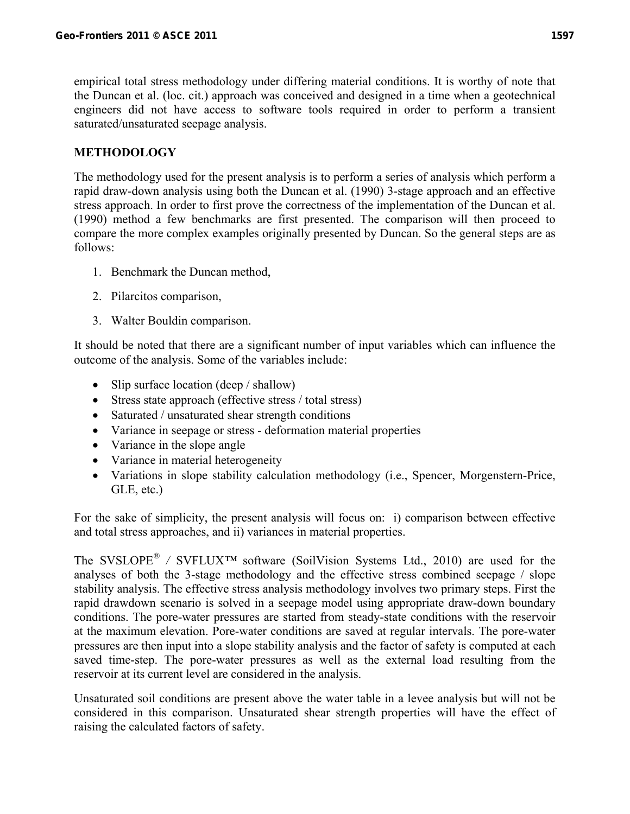empirical total stress methodology under differing material conditions. It is worthy of note that the Duncan et al. (loc. cit.) approach was conceived and designed in a time when a geotechnical engineers did not have access to software tools required in order to perform a transient saturated/unsaturated seepage analysis.

## **METHODOLOGY**

The methodology used for the present analysis is to perform a series of analysis which perform a rapid draw-down analysis using both the Duncan et al. (1990) 3-stage approach and an effective stress approach. In order to first prove the correctness of the implementation of the Duncan et al. (1990) method a few benchmarks are first presented. The comparison will then proceed to compare the more complex examples originally presented by Duncan. So the general steps are as follows:

- 1. Benchmark the Duncan method,
- 2. Pilarcitos comparison,
- 3. Walter Bouldin comparison.

It should be noted that there are a significant number of input variables which can influence the outcome of the analysis. Some of the variables include:

- Slip surface location (deep / shallow)
- Stress state approach (effective stress / total stress)
- Saturated / unsaturated shear strength conditions
- Variance in seepage or stress deformation material properties
- Variance in the slope angle
- Variance in material heterogeneity
- Variations in slope stability calculation methodology (i.e., Spencer, Morgenstern-Price, GLE, etc.)

For the sake of simplicity, the present analysis will focus on: i) comparison between effective and total stress approaches, and ii) variances in material properties.

The SVSLOPE*® /* SVFLUX*™* software (SoilVision Systems Ltd., 2010) are used for the analyses of both the 3-stage methodology and the effective stress combined seepage / slope stability analysis. The effective stress analysis methodology involves two primary steps. First the rapid drawdown scenario is solved in a seepage model using appropriate draw-down boundary conditions. The pore-water pressures are started from steady-state conditions with the reservoir at the maximum elevation. Pore-water conditions are saved at regular intervals. The pore-water pressures are then input into a slope stability analysis and the factor of safety is computed at each saved time-step. The pore-water pressures as well as the external load resulting from the reservoir at its current level are considered in the analysis.

Unsaturated soil conditions are present above the water table in a levee analysis but will not be considered in this comparison. Unsaturated shear strength properties will have the effect of raising the calculated factors of safety.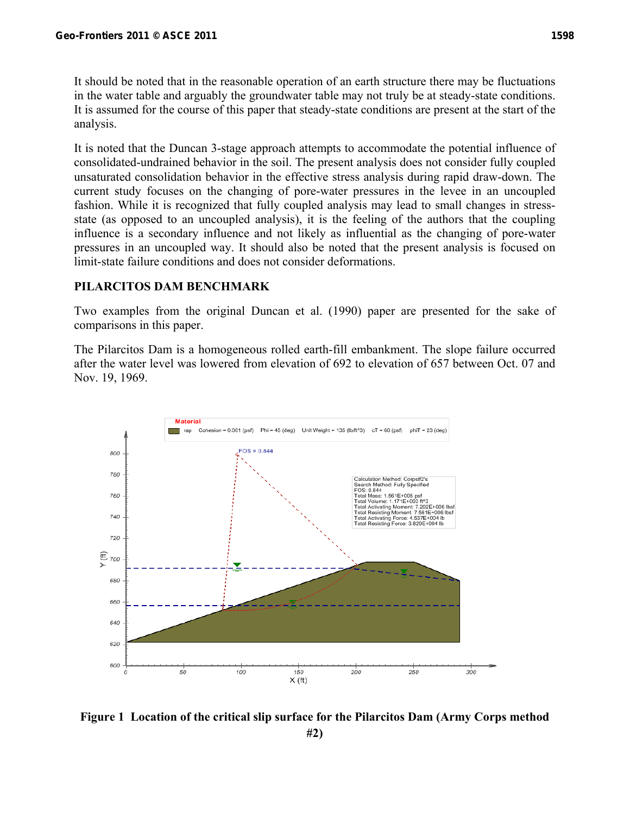It should be noted that in the reasonable operation of an earth structure there may be fluctuations in the water table and arguably the groundwater table may not truly be at steady-state conditions. It is assumed for the course of this paper that steady-state conditions are present at the start of the analysis.

It is noted that the Duncan 3-stage approach attempts to accommodate the potential influence of consolidated-undrained behavior in the soil. The present analysis does not consider fully coupled unsaturated consolidation behavior in the effective stress analysis during rapid draw-down. The current study focuses on the changing of pore-water pressures in the levee in an uncoupled fashion. While it is recognized that fully coupled analysis may lead to small changes in stressstate (as opposed to an uncoupled analysis), it is the feeling of the authors that the coupling influence is a secondary influence and not likely as influential as the changing of pore-water pressures in an uncoupled way. It should also be noted that the present analysis is focused on limit-state failure conditions and does not consider deformations.

### **PILARCITOS DAM BENCHMARK**

Two examples from the original Duncan et al. (1990) paper are presented for the sake of comparisons in this paper.

The Pilarcitos Dam is a homogeneous rolled earth-fill embankment. The slope failure occurred after the water level was lowered from elevation of 692 to elevation of 657 between Oct. 07 and Nov. 19, 1969.



**Figure 1 Location of the critical slip surface for the Pilarcitos Dam (Army Corps method #2)**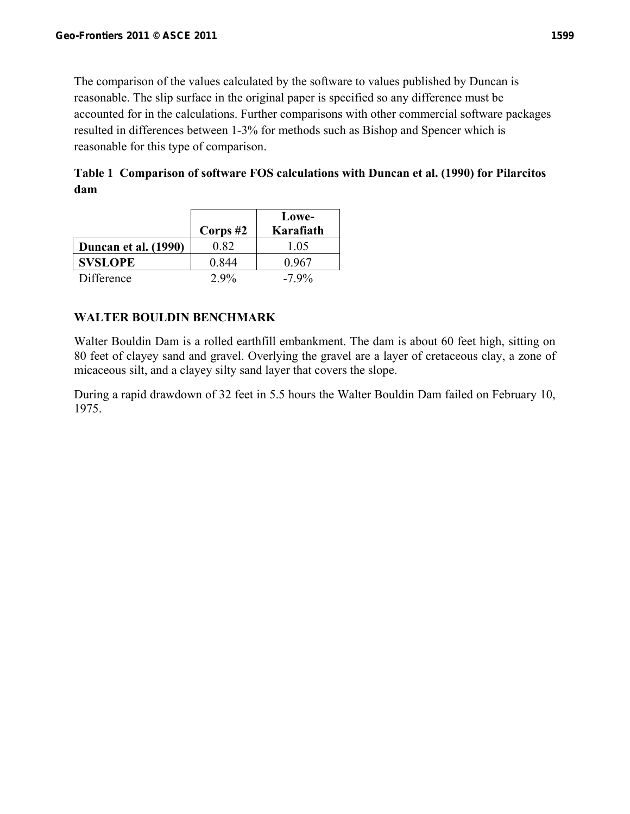The comparison of the values calculated by the software to values published by Duncan is reasonable. The slip surface in the original paper is specified so any difference must be accounted for in the calculations. Further comparisons with other commercial software packages resulted in differences between 1-3% for methods such as Bishop and Spencer which is reasonable for this type of comparison.

**Table 1 Comparison of software FOS calculations with Duncan et al. (1990) for Pilarcitos dam** 

|                      | Corps $#2$ | Lowe-<br>Karafiath |
|----------------------|------------|--------------------|
| Duncan et al. (1990) | 0.82       | 1.05               |
| <b>SVSLOPE</b>       | 0.844      | 0.967              |
| Difference           | $2.9\%$    | $-7.9\%$           |

# **WALTER BOULDIN BENCHMARK**

Walter Bouldin Dam is a rolled earthfill embankment. The dam is about 60 feet high, sitting on 80 feet of clayey sand and gravel. Overlying the gravel are a layer of cretaceous clay, a zone of micaceous silt, and a clayey silty sand layer that covers the slope.

During a rapid drawdown of 32 feet in 5.5 hours the Walter Bouldin Dam failed on February 10, 1975.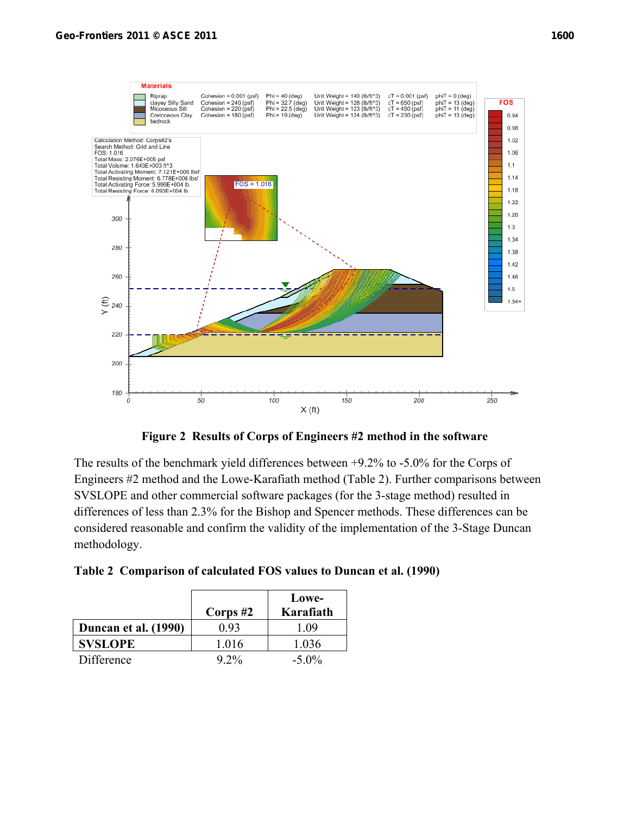

**Figure 2 Results of Corps of Engineers #2 method in the software** 

The results of the benchmark yield differences between +9.2% to -5.0% for the Corps of Engineers #2 method and the Lowe-Karafiath method (Table 2). Further comparisons between SVSLOPE and other commercial software packages (for the 3-stage method) resulted in differences of less than 2.3% for the Bishop and Spencer methods. These differences can be considered reasonable and confirm the validity of the implementation of the 3-Stage Duncan methodology.

|  | Table 2 Comparison of calculated FOS values to Duncan et al. (1990) |  |  |  |  |
|--|---------------------------------------------------------------------|--|--|--|--|
|--|---------------------------------------------------------------------|--|--|--|--|

|                      | Corps $#2$ | Lowe-<br>Karafiath |
|----------------------|------------|--------------------|
| Duncan et al. (1990) | 0 93       | 109                |
| <b>SVSLOPE</b>       | 1.016      | 1.036              |
| Difference           | $9.2\%$    | $-5.0\%$           |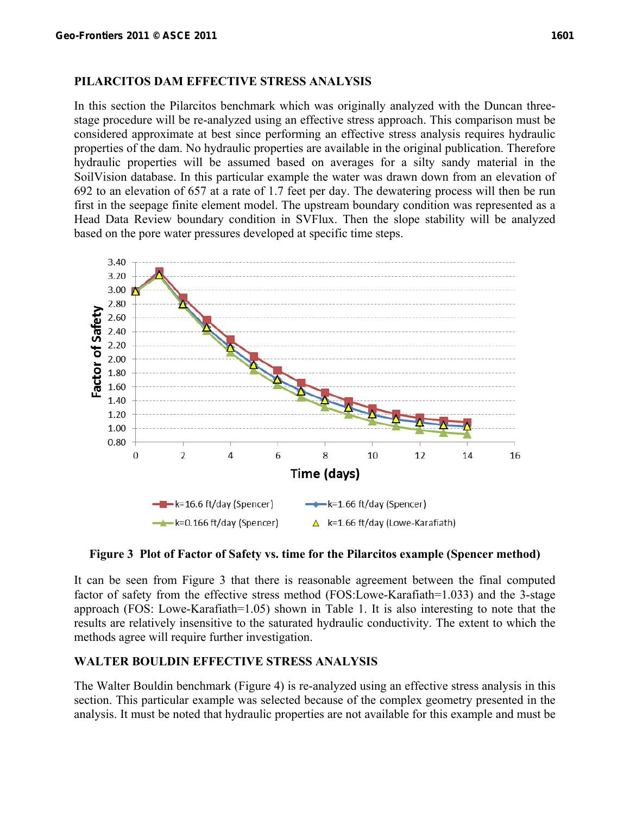#### **PILARCITOS DAM EFFECTIVE STRESS ANALYSIS**

In this section the Pilarcitos benchmark which was originally analyzed with the Duncan threestage procedure will be re-analyzed using an effective stress approach. This comparison must be considered approximate at best since performing an effective stress analysis requires hydraulic properties of the dam. No hydraulic properties are available in the original publication. Therefore hydraulic properties will be assumed based on averages for a silty sandy material in the SoilVision database. In this particular example the water was drawn down from an elevation of 692 to an elevation of 657 at a rate of 1.7 feet per day. The dewatering process will then be run first in the seepage finite element model. The upstream boundary condition was represented as a Head Data Review boundary condition in SVFlux. Then the slope stability will be analyzed based on the pore water pressures developed at specific time steps.



### **Figure 3 Plot of Factor of Safety vs. time for the Pilarcitos example (Spencer method)**

It can be seen from Figure 3 that there is reasonable agreement between the final computed factor of safety from the effective stress method (FOS:Lowe-Karafiath=1.033) and the 3-stage approach (FOS: Lowe-Karafiath=1.05) shown in Table 1. It is also interesting to note that the results are relatively insensitive to the saturated hydraulic conductivity. The extent to which the methods agree will require further investigation.

## **WALTER BOULDIN EFFECTIVE STRESS ANALYSIS**

The Walter Bouldin benchmark (Figure 4) is re-analyzed using an effective stress analysis in this section. This particular example was selected because of the complex geometry presented in the analysis. It must be noted that hydraulic properties are not available for this example and must be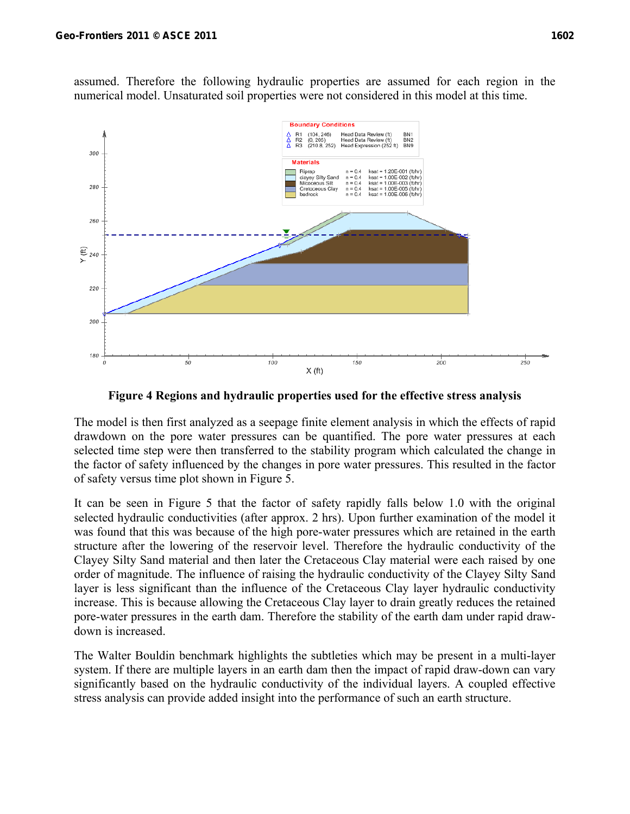assumed. Therefore the following hydraulic properties are assumed for each region in the numerical model. Unsaturated soil properties were not considered in this model at this time.



**Figure 4 Regions and hydraulic properties used for the effective stress analysis** 

The model is then first analyzed as a seepage finite element analysis in which the effects of rapid drawdown on the pore water pressures can be quantified. The pore water pressures at each selected time step were then transferred to the stability program which calculated the change in the factor of safety influenced by the changes in pore water pressures. This resulted in the factor of safety versus time plot shown in Figure 5.

It can be seen in Figure 5 that the factor of safety rapidly falls below 1.0 with the original selected hydraulic conductivities (after approx. 2 hrs). Upon further examination of the model it was found that this was because of the high pore-water pressures which are retained in the earth structure after the lowering of the reservoir level. Therefore the hydraulic conductivity of the Clayey Silty Sand material and then later the Cretaceous Clay material were each raised by one order of magnitude. The influence of raising the hydraulic conductivity of the Clayey Silty Sand layer is less significant than the influence of the Cretaceous Clay layer hydraulic conductivity increase. This is because allowing the Cretaceous Clay layer to drain greatly reduces the retained pore-water pressures in the earth dam. Therefore the stability of the earth dam under rapid drawdown is increased.

The Walter Bouldin benchmark highlights the subtleties which may be present in a multi-layer system. If there are multiple layers in an earth dam then the impact of rapid draw-down can vary significantly based on the hydraulic conductivity of the individual layers. A coupled effective stress analysis can provide added insight into the performance of such an earth structure.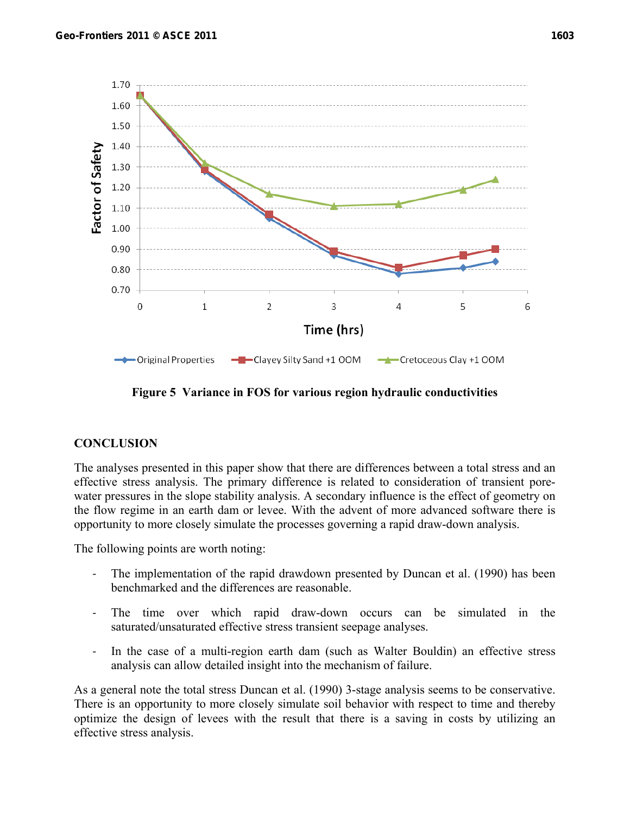1.70

1.60

1.50

1.40 1.30 1.20

1.10 1.00

0.90 0.80 0.70

 $\overline{0}$ 

 $\mathbf{1}$ 

Factor of Safety



**← Original Properties** - Clayey Silty Sand +1 OOM -Cretoceous Clay +1 OOM

3

Time (hrs)

4

5

6

 $\overline{2}$ 

**Figure 5 Variance in FOS for various region hydraulic conductivities** 

### **CONCLUSION**

The analyses presented in this paper show that there are differences between a total stress and an effective stress analysis. The primary difference is related to consideration of transient porewater pressures in the slope stability analysis. A secondary influence is the effect of geometry on the flow regime in an earth dam or levee. With the advent of more advanced software there is opportunity to more closely simulate the processes governing a rapid draw-down analysis.

The following points are worth noting:

- The implementation of the rapid drawdown presented by Duncan et al. (1990) has been benchmarked and the differences are reasonable.
- The time over which rapid draw-down occurs can be simulated in the saturated/unsaturated effective stress transient seepage analyses.
- ‐ In the case of a multi-region earth dam (such as Walter Bouldin) an effective stress analysis can allow detailed insight into the mechanism of failure.

As a general note the total stress Duncan et al. (1990) 3-stage analysis seems to be conservative. There is an opportunity to more closely simulate soil behavior with respect to time and thereby optimize the design of levees with the result that there is a saving in costs by utilizing an effective stress analysis.